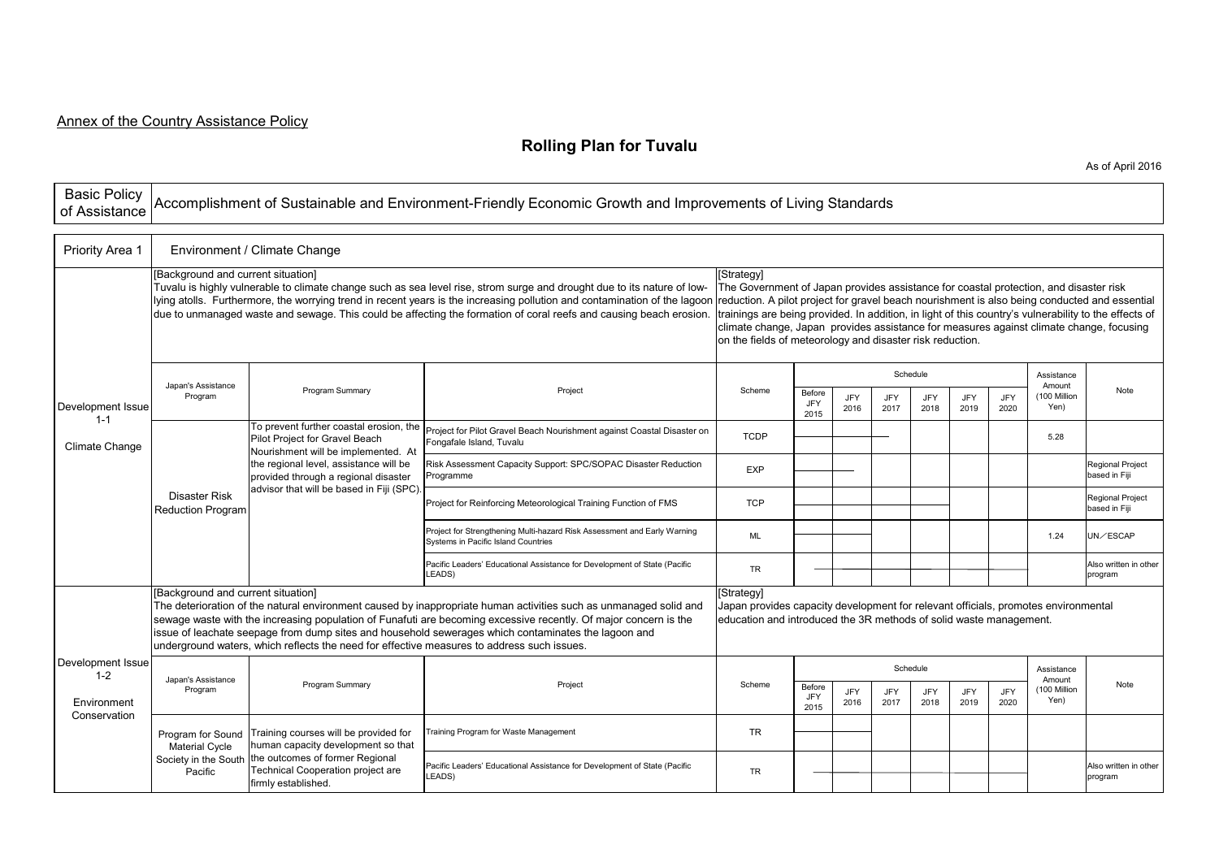## **Rolling Plan for Tuvalu**

As of April 2016

| <b>Basic Policy</b><br>of Assistance                        | Accomplishment of Sustainable and Environment-Friendly Economic Growth and Improvements of Living Standards                                                                                                                                                                                                                                                                                                                                                                      |                                                                                                                                                                                                                                                 |                                                                                                                 |             |                                                                                                                                                                                                                                                                                                                                                                                                                                                                       |             |             |             |                    |             |                      |                                          |  |
|-------------------------------------------------------------|----------------------------------------------------------------------------------------------------------------------------------------------------------------------------------------------------------------------------------------------------------------------------------------------------------------------------------------------------------------------------------------------------------------------------------------------------------------------------------|-------------------------------------------------------------------------------------------------------------------------------------------------------------------------------------------------------------------------------------------------|-----------------------------------------------------------------------------------------------------------------|-------------|-----------------------------------------------------------------------------------------------------------------------------------------------------------------------------------------------------------------------------------------------------------------------------------------------------------------------------------------------------------------------------------------------------------------------------------------------------------------------|-------------|-------------|-------------|--------------------|-------------|----------------------|------------------------------------------|--|
| Priority Area 1                                             | Environment / Climate Change                                                                                                                                                                                                                                                                                                                                                                                                                                                     |                                                                                                                                                                                                                                                 |                                                                                                                 |             |                                                                                                                                                                                                                                                                                                                                                                                                                                                                       |             |             |             |                    |             |                      |                                          |  |
|                                                             | [Background and current situation]<br>Tuvalu is highly vulnerable to climate change such as sea level rise, strom surge and drought due to its nature of low-<br>lying atolls. Furthermore, the worrying trend in recent years is the increasing pollution and contamination of the lagoon<br>due to unmanaged waste and sewage. This could be affecting the formation of coral reefs and causing beach erosion.                                                                 |                                                                                                                                                                                                                                                 |                                                                                                                 |             | [Strategy]<br>The Government of Japan provides assistance for coastal protection, and disaster risk<br>reduction. A pilot project for gravel beach nourishment is also being conducted and essential<br>trainings are being provided. In addition, in light of this country's vulnerability to the effects of<br>climate change, Japan provides assistance for measures against climate change, focusing<br>on the fields of meteorology and disaster risk reduction. |             |             |             |                    |             |                      |                                          |  |
|                                                             | Japan's Assistance<br>Program                                                                                                                                                                                                                                                                                                                                                                                                                                                    | Program Summary                                                                                                                                                                                                                                 | Project                                                                                                         | Scheme      | Schedule<br>Amount                                                                                                                                                                                                                                                                                                                                                                                                                                                    |             |             |             |                    |             | Assistance           | Note                                     |  |
| Development Issue                                           |                                                                                                                                                                                                                                                                                                                                                                                                                                                                                  |                                                                                                                                                                                                                                                 |                                                                                                                 |             | Before<br><b>JFY</b><br>2015                                                                                                                                                                                                                                                                                                                                                                                                                                          | JFY<br>2016 | JFY<br>2017 | JFY<br>2018 | <b>JFY</b><br>2019 | JFY<br>2020 | (100 Million<br>Yen) |                                          |  |
| $1 - 1$<br>Climate Change                                   | Disaster Risk<br><b>Reduction Program</b>                                                                                                                                                                                                                                                                                                                                                                                                                                        | To prevent further coastal erosion, the<br>Pilot Project for Gravel Beach<br>Nourishment will be implemented. At<br>the regional level, assistance will be<br>provided through a regional disaster<br>advisor that will be based in Fiji (SPC). | Project for Pilot Gravel Beach Nourishment against Coastal Disaster on<br>Fongafale Island, Tuvalu              | <b>TCDP</b> |                                                                                                                                                                                                                                                                                                                                                                                                                                                                       |             |             |             |                    |             | 5.28                 |                                          |  |
|                                                             |                                                                                                                                                                                                                                                                                                                                                                                                                                                                                  |                                                                                                                                                                                                                                                 | Risk Assessment Capacity Support: SPC/SOPAC Disaster Reduction<br>Programme                                     | <b>EXP</b>  |                                                                                                                                                                                                                                                                                                                                                                                                                                                                       |             |             |             |                    |             |                      | <b>Regional Project</b><br>based in Fiji |  |
|                                                             |                                                                                                                                                                                                                                                                                                                                                                                                                                                                                  |                                                                                                                                                                                                                                                 | Project for Reinforcing Meteorological Training Function of FMS                                                 | <b>TCP</b>  |                                                                                                                                                                                                                                                                                                                                                                                                                                                                       |             |             |             |                    |             |                      | <b>Regional Project</b><br>based in Fiji |  |
|                                                             |                                                                                                                                                                                                                                                                                                                                                                                                                                                                                  |                                                                                                                                                                                                                                                 | Project for Strengthening Multi-hazard Risk Assessment and Early Warning<br>Systems in Pacific Island Countries | ML          |                                                                                                                                                                                                                                                                                                                                                                                                                                                                       |             |             |             |                    |             | 1.24                 | UN/ESCAP                                 |  |
|                                                             |                                                                                                                                                                                                                                                                                                                                                                                                                                                                                  |                                                                                                                                                                                                                                                 | Pacific Leaders' Educational Assistance for Development of State (Pacific<br>LEADS)                             | <b>TR</b>   |                                                                                                                                                                                                                                                                                                                                                                                                                                                                       |             |             |             |                    |             |                      | Also written in other<br>program         |  |
|                                                             | [Background and current situation]<br>The deterioration of the natural environment caused by inappropriate human activities such as unmanaged solid and<br>sewage waste with the increasing population of Funafuti are becoming excessive recently. Of major concern is the<br>issue of leachate seepage from dump sites and household sewerages which contaminates the lagoon and<br>underground waters, which reflects the need for effective measures to address such issues. | Strategyl<br>Japan provides capacity development for relevant officials, promotes environmental<br>education and introduced the 3R methods of solid waste management.                                                                           |                                                                                                                 |             |                                                                                                                                                                                                                                                                                                                                                                                                                                                                       |             |             |             |                    |             |                      |                                          |  |
| Development Issue<br>$1 - 2$<br>Environment<br>Conservation | Japan's Assistance<br>Program                                                                                                                                                                                                                                                                                                                                                                                                                                                    | Program Summary                                                                                                                                                                                                                                 | Project                                                                                                         |             | Schedule<br>Assistance<br>Amount                                                                                                                                                                                                                                                                                                                                                                                                                                      |             |             |             |                    |             |                      |                                          |  |
|                                                             |                                                                                                                                                                                                                                                                                                                                                                                                                                                                                  |                                                                                                                                                                                                                                                 |                                                                                                                 | Scheme      | Before<br><b>JFY</b><br>2015                                                                                                                                                                                                                                                                                                                                                                                                                                          | JFY<br>2016 | JFY<br>2017 | JFY<br>2018 | JFY<br>2019        | JFY<br>2020 | (100 Million<br>Yen) | Note                                     |  |
|                                                             | Program for Sound<br><b>Material Cycle</b><br>Society in the South<br>Pacific                                                                                                                                                                                                                                                                                                                                                                                                    | Training courses will be provided for<br>human capacity development so that<br>the outcomes of former Regional<br>Technical Cooperation project are<br>firmly established.                                                                      | raining Program for Waste Management                                                                            | <b>TR</b>   |                                                                                                                                                                                                                                                                                                                                                                                                                                                                       |             |             |             |                    |             |                      |                                          |  |
|                                                             |                                                                                                                                                                                                                                                                                                                                                                                                                                                                                  |                                                                                                                                                                                                                                                 | Pacific Leaders' Educational Assistance for Development of State (Pacific<br>LEADS)                             | <b>TR</b>   |                                                                                                                                                                                                                                                                                                                                                                                                                                                                       |             |             |             |                    |             |                      | Also written in other<br>program         |  |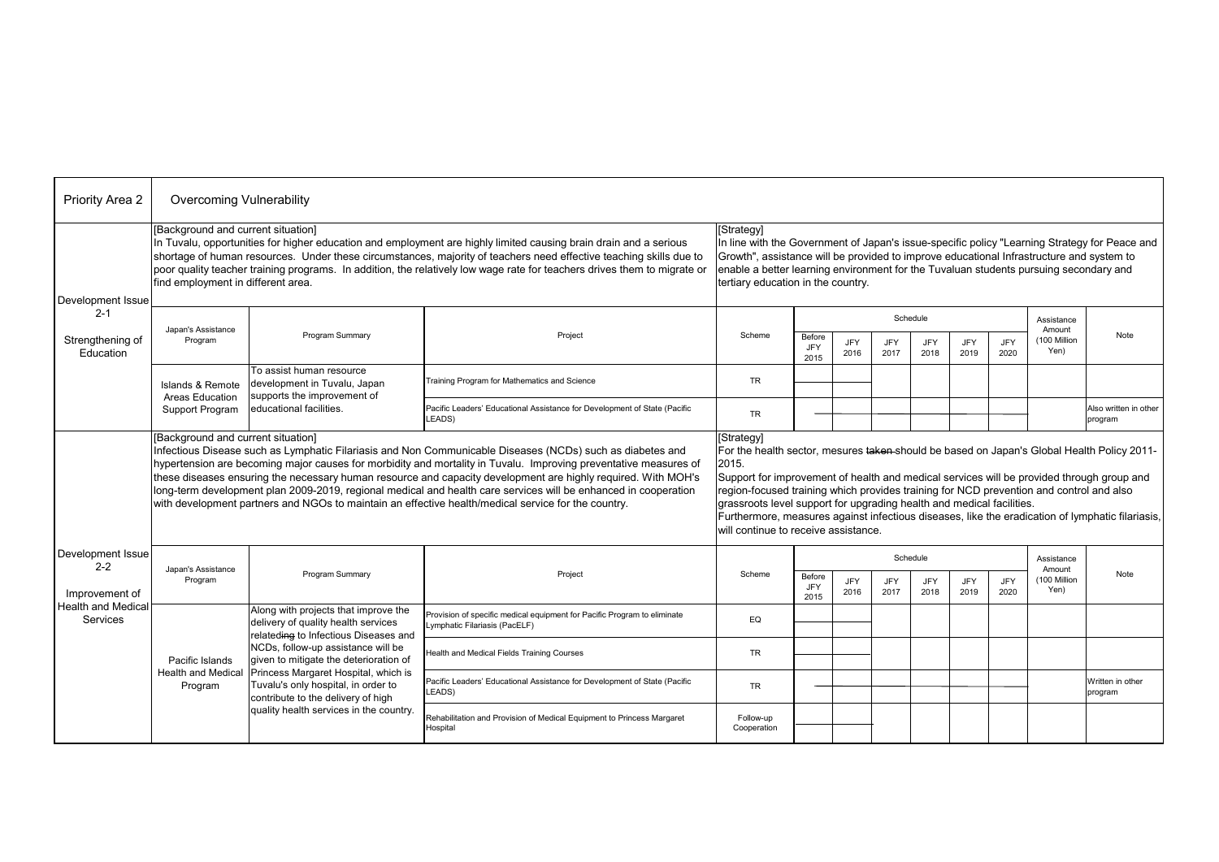| Priority Area 2                                               | Overcoming Vulnerability                                                                                                                                                                                                                                                                                                                                                                                                                                                                                                                                                                                       |                                                                                                                                                                                                                                                                                                                           |                                                                                                           |                          |                                                                                                                                                                                                                                                                                                                                                                                                                                                                                                                                |                    |             |                    |                    |             |                      |                                  |  |
|---------------------------------------------------------------|----------------------------------------------------------------------------------------------------------------------------------------------------------------------------------------------------------------------------------------------------------------------------------------------------------------------------------------------------------------------------------------------------------------------------------------------------------------------------------------------------------------------------------------------------------------------------------------------------------------|---------------------------------------------------------------------------------------------------------------------------------------------------------------------------------------------------------------------------------------------------------------------------------------------------------------------------|-----------------------------------------------------------------------------------------------------------|--------------------------|--------------------------------------------------------------------------------------------------------------------------------------------------------------------------------------------------------------------------------------------------------------------------------------------------------------------------------------------------------------------------------------------------------------------------------------------------------------------------------------------------------------------------------|--------------------|-------------|--------------------|--------------------|-------------|----------------------|----------------------------------|--|
| Development Issue<br>$2 - 1$<br>Strengthening of<br>Education | [Background and current situation]<br>In Tuvalu, opportunities for higher education and employment are highly limited causing brain drain and a serious<br>shortage of human resources. Under these circumstances, majority of teachers need effective teaching skills due to<br>poor quality teacher training programs. In addition, the relatively low wage rate for teachers drives them to migrate or<br>find employment in different area.                                                                                                                                                                |                                                                                                                                                                                                                                                                                                                           |                                                                                                           |                          | [Strategy]<br>In line with the Government of Japan's issue-specific policy "Learning Strategy for Peace and<br>Growth", assistance will be provided to improve educational Infrastructure and system to<br>enable a better learning environment for the Tuvaluan students pursuing secondary and<br>tertiary education in the country.                                                                                                                                                                                         |                    |             |                    |                    |             |                      |                                  |  |
|                                                               | Japan's Assistance<br>Program                                                                                                                                                                                                                                                                                                                                                                                                                                                                                                                                                                                  | Program Summary                                                                                                                                                                                                                                                                                                           | Project                                                                                                   | Scheme                   | Schedule                                                                                                                                                                                                                                                                                                                                                                                                                                                                                                                       |                    |             |                    |                    |             | Assistance<br>Amount |                                  |  |
|                                                               |                                                                                                                                                                                                                                                                                                                                                                                                                                                                                                                                                                                                                |                                                                                                                                                                                                                                                                                                                           |                                                                                                           |                          | Before<br>JFY<br>2015                                                                                                                                                                                                                                                                                                                                                                                                                                                                                                          | JFY<br>2016        | JFY<br>2017 | JFY<br>2018        | JFY<br>2019        | JFY<br>2020 | 100 Million<br>Yen)  | Note                             |  |
|                                                               | Islands & Remote<br>Areas Education<br>Support Program                                                                                                                                                                                                                                                                                                                                                                                                                                                                                                                                                         | To assist human resource<br>development in Tuvalu, Japan<br>supports the improvement of<br>educational facilities.                                                                                                                                                                                                        | Training Program for Mathematics and Science                                                              | <b>TR</b>                |                                                                                                                                                                                                                                                                                                                                                                                                                                                                                                                                |                    |             |                    |                    |             |                      |                                  |  |
|                                                               |                                                                                                                                                                                                                                                                                                                                                                                                                                                                                                                                                                                                                |                                                                                                                                                                                                                                                                                                                           | Pacific Leaders' Educational Assistance for Development of State (Pacific<br>LEADS)                       | <b>TR</b>                |                                                                                                                                                                                                                                                                                                                                                                                                                                                                                                                                |                    |             |                    |                    |             |                      | Also written in other<br>program |  |
|                                                               | [Background and current situation]<br>Infectious Disease such as Lymphatic Filariasis and Non Communicable Diseases (NCDs) such as diabetes and<br>hypertension are becoming major causes for morbidity and mortality in Tuvalu. Improving preventative measures of<br>these diseases ensuring the necessary human resource and capacity development are highly required. With MOH's<br>long-term development plan 2009-2019, regional medical and health care services will be enhanced in cooperation<br>with development partners and NGOs to maintain an effective health/medical service for the country. |                                                                                                                                                                                                                                                                                                                           |                                                                                                           |                          | [Strategy]<br>For the health sector, mesures taken-should be based on Japan's Global Health Policy 2011-<br>2015.<br>Support for improvement of health and medical services will be provided through group and<br>region-focused training which provides training for NCD prevention and control and also<br>grassroots level support for upgrading health and medical facilities.<br>Furthermore, measures against infectious diseases, like the eradication of lymphatic filariasis,<br>will continue to receive assistance. |                    |             |                    |                    |             |                      |                                  |  |
| Development Issue<br>$2 - 2$                                  | Japan's Assistance                                                                                                                                                                                                                                                                                                                                                                                                                                                                                                                                                                                             |                                                                                                                                                                                                                                                                                                                           |                                                                                                           |                          | Schedule<br>Assistance<br>Amount                                                                                                                                                                                                                                                                                                                                                                                                                                                                                               |                    |             |                    |                    |             |                      |                                  |  |
| Improvement of<br><b>Health and Medical</b><br>Services       | Program                                                                                                                                                                                                                                                                                                                                                                                                                                                                                                                                                                                                        | Program Summary                                                                                                                                                                                                                                                                                                           | Project                                                                                                   | Scheme                   | Before<br>JFY<br>2015                                                                                                                                                                                                                                                                                                                                                                                                                                                                                                          | <b>JFY</b><br>2016 | JFY<br>2017 | <b>JFY</b><br>2018 | <b>JFY</b><br>2019 | JFY<br>2020 | (100 Million<br>Yen) | Note                             |  |
|                                                               | Pacific Islands<br><b>Health and Medical</b><br>Program                                                                                                                                                                                                                                                                                                                                                                                                                                                                                                                                                        | Along with projects that improve the<br>delivery of quality health services<br>relateding to Infectious Diseases and<br>NCDs, follow-up assistance will be<br>given to mitigate the deterioration of<br>Princess Margaret Hospital, which is<br>Tuvalu's only hospital, in order to<br>contribute to the delivery of high | Provision of specific medical equipment for Pacific Program to eliminate<br>Lymphatic Filariasis (PacELF) | EQ                       |                                                                                                                                                                                                                                                                                                                                                                                                                                                                                                                                |                    |             |                    |                    |             |                      |                                  |  |
|                                                               |                                                                                                                                                                                                                                                                                                                                                                                                                                                                                                                                                                                                                |                                                                                                                                                                                                                                                                                                                           | Health and Medical Fields Training Courses                                                                | <b>TR</b>                |                                                                                                                                                                                                                                                                                                                                                                                                                                                                                                                                |                    |             |                    |                    |             |                      |                                  |  |
|                                                               |                                                                                                                                                                                                                                                                                                                                                                                                                                                                                                                                                                                                                |                                                                                                                                                                                                                                                                                                                           | Pacific Leaders' Educational Assistance for Development of State (Pacific<br>LEADS)                       | <b>TR</b>                |                                                                                                                                                                                                                                                                                                                                                                                                                                                                                                                                |                    |             |                    |                    |             |                      | Written in other<br>program      |  |
|                                                               |                                                                                                                                                                                                                                                                                                                                                                                                                                                                                                                                                                                                                | quality health services in the country.                                                                                                                                                                                                                                                                                   | Rehabilitation and Provision of Medical Equipment to Princess Margaret<br>Hospital                        | Follow-up<br>Cooperation |                                                                                                                                                                                                                                                                                                                                                                                                                                                                                                                                |                    |             |                    |                    |             |                      |                                  |  |